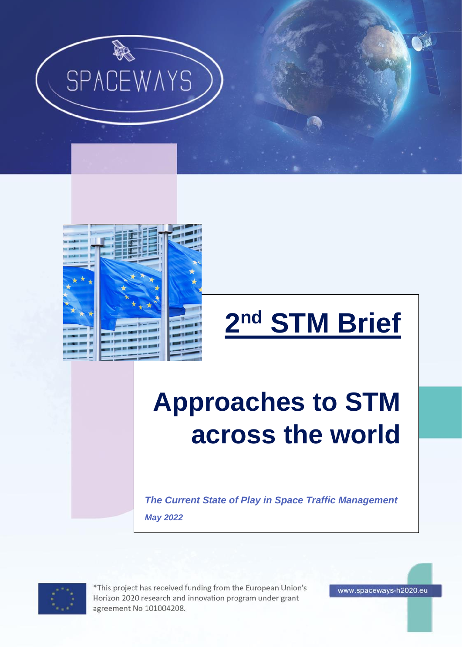



# **2 nd STM Brief**

## **Approaches to STM across the world**

*The Current State of Play in Space Traffic Management May 2022*



\*This project has received funding from the European Union's Horizon 2020 research and innovation program under grant agreement No 101004208.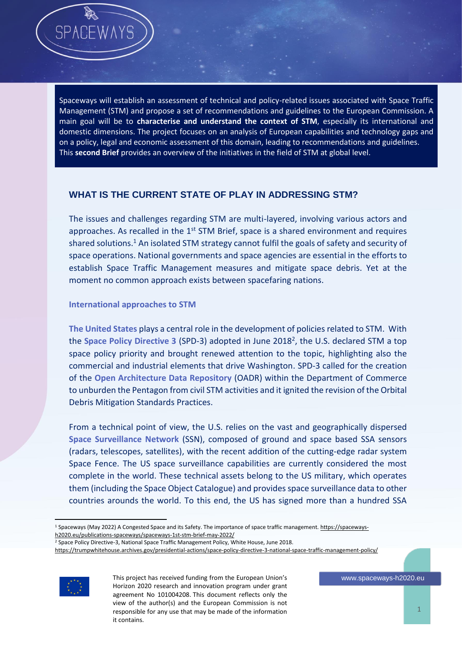Spaceways will establish an assessment of technical and policy-related issues associated with Space Traffic Management (STM) and propose a set of recommendations and guidelines to the European Commission. A main goal will be to **characterise and understand the context of STM**, especially its international and domestic dimensions. The project focuses on an analysis of European capabilities and technology gaps and on a policy, legal and economic assessment of this domain, leading to recommendations and guidelines. This **second Brief** provides an overview of the initiatives in the field of STM at global level.

### **WHAT IS THE CURRENT STATE OF PLAY IN ADDRESSING STM?**

The issues and challenges regarding STM are multi-layered, involving various actors and approaches. As recalled in the  $1<sup>st</sup>$  STM Brief, space is a shared environment and requires shared solutions.<sup>1</sup> An isolated STM strategy cannot fulfil the goals of safety and security of space operations. National governments and space agencies are essential in the efforts to establish Space Traffic Management measures and mitigate space debris. Yet at the moment no common approach exists between spacefaring nations.

#### **International approaches to STM**

**The United States** plays a central role in the development of policies related to STM. With the Space Policy Directive 3 (SPD-3) adopted in June 2018<sup>2</sup>, the U.S. declared STM a top space policy priority and brought renewed attention to the topic, highlighting also the commercial and industrial elements that drive Washington. SPD-3 called for the creation of the **Open Architecture Data Repository** (OADR) within the Department of Commerce to unburden the Pentagon from civil STM activities and it ignited the revision of the Orbital Debris Mitigation Standards Practices.

From a technical point of view, the U.S. relies on the vast and geographically dispersed **Space Surveillance Network** (SSN), composed of ground and space based SSA sensors (radars, telescopes, satellites), with the recent addition of the cutting-edge radar system Space Fence. The US space surveillance capabilities are currently considered the most complete in the world. These technical assets belong to the US military, which operates them (including the Space Object Catalogue) and provides space surveillance data to other countries arounds the world. To this end, the US has signed more than a hundred SSA

<sup>2</sup> Space Policy Directive-3, National Space Traffic Management Policy, White House, June 2018.

<https://trumpwhitehouse.archives.gov/presidential-actions/space-policy-directive-3-national-space-traffic-management-policy/>



 $\overline{a}$ 

<sup>&</sup>lt;sup>1</sup> Spaceways (May 2022) A Congested Space and its Safety. The importance of space traffic management[. https://spaceways](https://spaceways-h2020.eu/publications-spaceways/spaceways-1st-stm-brief-may-2022/)[h2020.eu/publications-spaceways/spaceways-1st-stm-brief-may-2022/](https://spaceways-h2020.eu/publications-spaceways/spaceways-1st-stm-brief-may-2022/)

This project has received funding from the European Union's Horizon 2020 research and innovation program under grant agreement No 101004208. This document reflects only the view of the author(s) and the European Commission is not responsible for any use that may be made of the information it contains.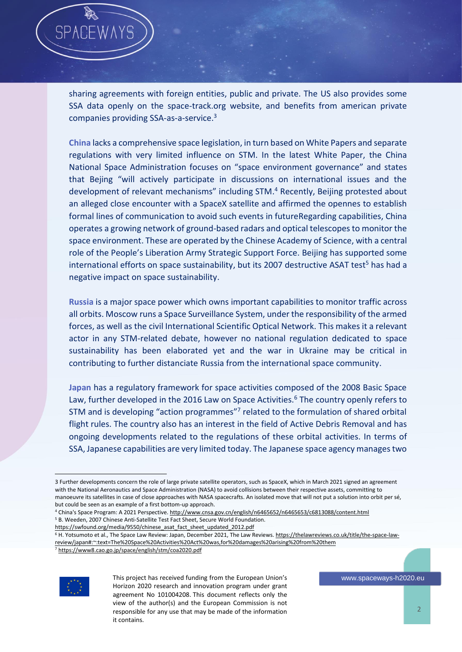sharing agreements with foreign entities, public and private. The US also provides some SSA data openly on the space-track.org website, and benefits from american private companies providing SSA-as-a-service. 3

**China** lacks a comprehensive space legislation, in turn based on White Papers and separate regulations with very limited influence on STM. In the latest White Paper, the China National Space Administration focuses on "space environment governance" and states that Bejing "will actively participate in discussions on international issues and the development of relevant mechanisms" including STM. <sup>4</sup> Recently, Beijing protested about an alleged close encounter with a SpaceX satellite and affirmed the opennes to establish formal lines of communication to avoid such events in futureRegarding capabilities, China operates a growing network of ground-based radars and optical telescopes to monitor the space environment. These are operated by the Chinese Academy of Science, with a central role of the People's Liberation Army Strategic Support Force. Beijing has supported some international efforts on space sustainability, but its 2007 destructive ASAT test<sup>5</sup> has had a negative impact on space sustainability.

**Russia** is a major space power which owns important capabilities to monitor traffic across all orbits. Moscow runs a Space Surveillance System, under the responsibility of the armed forces, as well as the civil International Scientific Optical Network. This makes it a relevant actor in any STM-related debate, however no national regulation dedicated to space sustainability has been elaborated yet and the war in Ukraine may be critical in contributing to further distanciate Russia from the international space community.

**Japan** has a regulatory framework for space activities composed of the 2008 Basic Space Law, further developed in the 2016 Law on Space Activities.<sup>6</sup> The country openly refers to STM and is developing "action programmes"<sup>7</sup> related to the formulation of shared orbital flight rules. The country also has an interest in the field of Active Debris Removal and has ongoing developments related to the regulations of these orbital activities. In terms of SSA, Japanese capabilities are very limited today. The Japanese space agency manages two

[https://swfound.org/media/9550/chinese\\_asat\\_fact\\_sheet\\_updated\\_2012.pdf](https://swfound.org/media/9550/chinese_asat_fact_sheet_updated_2012.pdf)

<sup>7</sup> <https://www8.cao.go.jp/space/english/stm/coa2020.pdf>



 $\overline{a}$ 

<sup>3</sup> Further developments concern the role of large private satellite operators, such as SpaceX, which in March 2021 signed an agreement with the National Aeronautics and Space Administration (NASA) to avoid collisions between their respective assets, committing to manoeuvre its satellites in case of close approaches with NASA spacecrafts. An isolated move that will not put a solution into orbit per sé, but could be seen as an example of a first bottom-up approach.

<sup>4</sup> China's Space Program: A 2021 Perspective[. http://www.cnsa.gov.cn/english/n6465652/n6465653/c6813088/content.html](http://www.cnsa.gov.cn/english/n6465652/n6465653/c6813088/content.html) <sup>5</sup> B. Weeden, 2007 Chinese Anti-Satellite Test Fact Sheet, Secure World Foundation.

<sup>&</sup>lt;sup>6</sup> H. Yotsumoto et al., The Space Law Review: Japan, December 2021, The Law Reviews[. https://thelawreviews.co.uk/title/the-space-law](https://thelawreviews.co.uk/title/the-space-law-review/japan#:~:text=The%20Space%20Activities%20Act%20was,for%20damages%20arising%20from%20them)[review/japan#:~:text=The%20Space%20Activities%20Act%20was,for%20damages%20arising%20from%20them](https://thelawreviews.co.uk/title/the-space-law-review/japan#:~:text=The%20Space%20Activities%20Act%20was,for%20damages%20arising%20from%20them)

This project has received funding from the European Union's Horizon 2020 research and innovation program under grant agreement No 101004208. This document reflects only the view of the author(s) and the European Commission is not responsible for any use that may be made of the information it contains.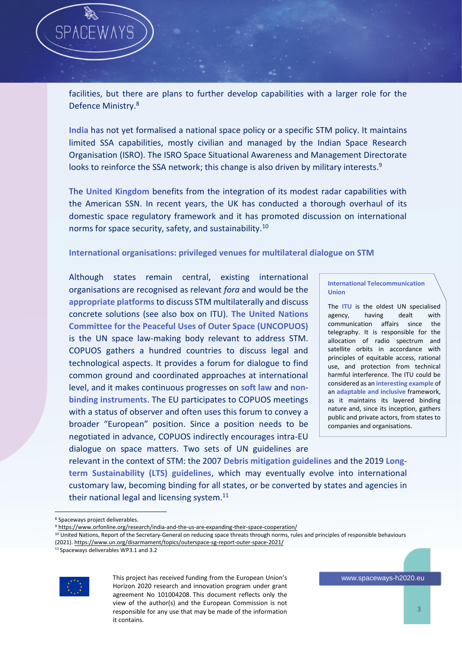facilities, but there are plans to further develop capabilities with a larger role for the Defence Ministry. 8

**India** has not yet formalised a national space policy or a specific STM policy. It maintains limited SSA capabilities, mostly civilian and managed by the Indian Space Research Organisation (ISRO). The ISRO Space Situational Awareness and Management Directorate looks to reinforce the SSA network; this change is also driven by military interests.<sup>9</sup>

The **United Kingdom** benefits from the integration of its modest radar capabilities with the American SSN. In recent years, the UK has conducted a thorough overhaul of its domestic space regulatory framework and it has promoted discussion on international norms for space security, safety, and sustainability.<sup>10</sup>

#### **International organisations: privileged venues for multilateral dialogue on STM**

Although states remain central, existing international organisations are recognised as relevant *fora* and would be the **appropriate platforms** to discuss STM multilaterally and discuss concrete solutions (see also box on ITU). **The United Nations Committee for the Peaceful Uses of Outer Space (UNCOPUOS)** is the UN space law-making body relevant to address STM. COPUOS gathers a hundred countries to discuss legal and technological aspects. It provides a forum for dialogue to find common ground and coordinated approaches at international level, and it makes continuous progresses on **soft law** and **nonbinding instruments**. The EU participates to COPUOS meetings with a status of observer and often uses this forum to convey a broader "European" position. Since a position needs to be negotiated in advance, COPUOS indirectly encourages intra-EU dialogue on space matters. Two sets of UN guidelines are

**International Telecommunication Union**

The **ITU** is the oldest UN specialised agency, having dealt with communication affairs since the telegraphy. It is responsible for the allocation of radio spectrum and satellite orbits in accordance with principles of equitable access, rational use, and protection from technical harmful interference. The ITU could be considered as an **interesting example** of an **adaptable and inclusive** framework, as it maintains its layered binding nature and, since its inception, gathers public and private actors, from states to companies and organisations.

relevant in the context of STM: the 2007 **Debris mitigation guidelines** and the 2019 **Longterm Sustainability (LTS) guidelines**, which may eventually evolve into international customary law, becoming binding for all states, or be converted by states and agencies in their national legal and licensing system.<sup>11</sup>

<sup>10</sup> United Nations, Report of the Secretary-General on reducing space threats through norms, rules and principles of responsible behaviours (2021)[. https://www.un.org/disarmament/topics/outerspace-sg-report-outer-space-2021/](https://www.un.org/disarmament/topics/outerspace-sg-report-outer-space-2021/)

<sup>11</sup> Spaceways deliverables WP3.1 and 3.2



 $\overline{a}$ 

This project has received funding from the European Union's Horizon 2020 research and innovation program under grant agreement No 101004208. This document reflects only the view of the author(s) and the European Commission is not responsible for any use that may be made of the information it contains.

<sup>&</sup>lt;sup>8</sup> Spaceways project deliverables.

<sup>&</sup>lt;sup>9</sup> <https://www.orfonline.org/research/india-and-the-us-are-expanding-their-space-cooperation/>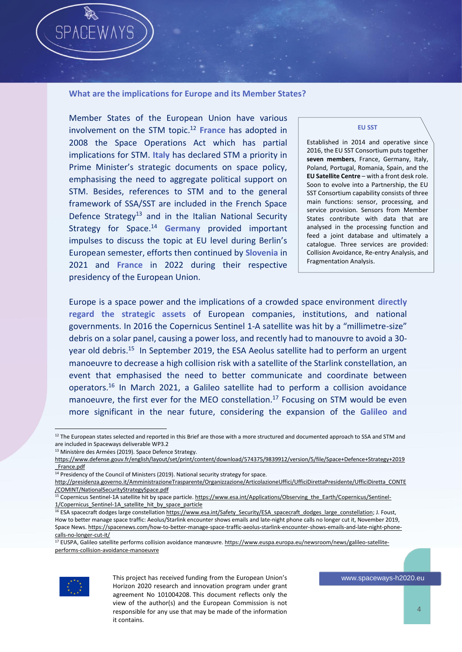#### **What are the implications for Europe and its Member States?**

Member States of the European Union have various involvement on the STM topic. <sup>12</sup> **France** has adopted in 2008 the Space Operations Act which has partial implications for STM. **Italy** has declared STM a priority in Prime Minister's strategic documents on space policy, emphasising the need to aggregate political support on STM. Besides, references to STM and to the general framework of SSA/SST are included in the French Space Defence Strategy<sup>13</sup> and in the Italian National Security Strategy for Space.<sup>14</sup> **Germany** provided important impulses to discuss the topic at EU level during Berlin's European semester, efforts then continued by **Slovenia** in 2021 and **France** in 2022 during their respective presidency of the European Union.

#### **EU SST**

Established in 2014 and operative since 2016, the EU SST Consortium puts together **seven members**, France, Germany, Italy, Poland, Portugal, Romania, Spain, and the **EU Satellite Centre** – with a front desk role. Soon to evolve into a Partnership, the EU SST Consortium capability consists of three main functions: sensor, processing, and service provision. Sensors from Member States contribute with data that are analysed in the processing function and feed a joint database and ultimately a catalogue. Three services are provided: Collision Avoidance, Re-entry Analysis, and Fragmentation Analysis.

Europe is a space power and the implications of a crowded space environment **directly regard the strategic assets** of European companies, institutions, and national governments. In 2016 the Copernicus Sentinel 1-A satellite was hit by a "millimetre-size" debris on a solar panel, causing a power loss, and recently had to manouvre to avoid a 30 year old debris.<sup>15</sup> In September 2019, the ESA Aeolus satellite had to perform an urgent manoeuvre to decrease a high collision risk with a satellite of the Starlink constellation, an event that emphasised the need to better communicate and coordinate between operators.<sup>16</sup> In March 2021, a Galileo satellite had to perform a collision avoidance manoeuvre, the first ever for the MEO constellation.<sup>17</sup> Focusing on STM would be even more significant in the near future, considering the expansion of the **Galileo and** 

<sup>&</sup>lt;sup>17</sup> EUSPA, Galileo satellite performs collision avoidance manœuvre. [https://www.euspa.europa.eu/newsroom/news/galileo-satellite](https://www.euspa.europa.eu/newsroom/news/galileo-satellite-performs-collision-avoidance-manoeuvre)[performs-collision-avoidance-manoeuvre](https://www.euspa.europa.eu/newsroom/news/galileo-satellite-performs-collision-avoidance-manoeuvre)



This project has received funding from the European Union's Horizon 2020 research and innovation program under grant agreement No 101004208. This document reflects only the view of the author(s) and the European Commission is not responsible for any use that may be made of the information it contains.

<sup>&</sup>lt;sup>12</sup> The European states selected and reported in this Brief are those with a more structured and documented approach to SSA and STM and are included in Spaceways deliverable WP3.2

<sup>13</sup> Ministère des Armées (2019). Space Defence Strategy.

[https://www.defense.gouv.fr/english/layout/set/print/content/download/574375/9839912/version/5/file/Space+Defence+Strategy+2019](https://www.defense.gouv.fr/english/layout/set/print/content/download/574375/9839912/version/5/file/Space+Defence+Strategy+2019_France.pdf) France.pdf

 $14$  Presidency of the Council of Ministers (2019). National security strategy for space.

[http://presidenza.governo.it/AmministrazioneTrasparente/Organizzazione/ArticolazioneUffici/UfficiDirettaPresidente/UfficiDiretta\\_CONTE](http://presidenza.governo.it/AmministrazioneTrasparente/Organizzazione/ArticolazioneUffici/UfficiDirettaPresidente/UfficiDiretta_CONTE/COMINT/NationalSecurityStrategySpace.pdf) [/COMINT/NationalSecurityStrategySpace.pdf](http://presidenza.governo.it/AmministrazioneTrasparente/Organizzazione/ArticolazioneUffici/UfficiDirettaPresidente/UfficiDiretta_CONTE/COMINT/NationalSecurityStrategySpace.pdf)

<sup>&</sup>lt;sup>15</sup> Copernicus Sentinel-1A satellite hit by space particle[. https://www.esa.int/Applications/Observing\\_the\\_Earth/Copernicus/Sentinel-](https://www.esa.int/Applications/Observing_the_Earth/Copernicus/Sentinel-1/Copernicus_Sentinel-1A_satellite_hit_by_space_particle)1/Copernicus Sentinel-1A satellite hit by space particle

<sup>&</sup>lt;sup>16</sup> ESA spacecraft dodges large constellatio[n https://www.esa.int/Safety\\_Security/ESA\\_spacecraft\\_dodges\\_large\\_constellation;](https://www.esa.int/Safety_Security/ESA_spacecraft_dodges_large_constellation) J. Foust, How to better manage space traffic: Aeolus/Starlink encounter shows emails and late-night phone calls no longer cut it, November 2019, Space News[. https://spacenews.com/how-to-better-manage-space-traffic-aeolus-starlink-encounter-shows-emails-and-late-night-phone](https://spacenews.com/how-to-better-manage-space-traffic-aeolus-starlink-encounter-shows-emails-and-late-night-phone-calls-no-longer-cut-it/)[calls-no-longer-cut-it/](https://spacenews.com/how-to-better-manage-space-traffic-aeolus-starlink-encounter-shows-emails-and-late-night-phone-calls-no-longer-cut-it/)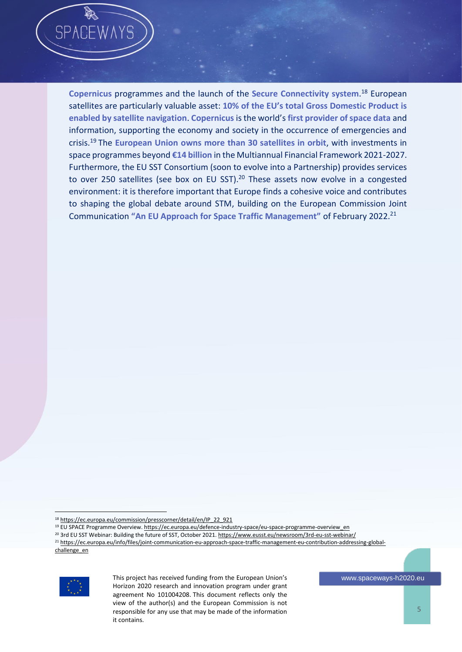**Copernicus** programmes and the launch of the **Secure Connectivity system**. <sup>18</sup> European satellites are particularly valuable asset: **10% of the EU's total Gross Domestic Product is enabled by satellite navigation**. **Copernicus** is the world's **first provider of space data** and information, supporting the economy and society in the occurrence of emergencies and crisis.<sup>19</sup> The **European Union owns more than 30 satellites in orbit**, with investments in space programmes beyond **€14 billion** in the Multiannual Financial Framework 2021-2027. Furthermore, the EU SST Consortium (soon to evolve into a Partnership) provides services to over 250 satellites (see box on EU SST).<sup>20</sup> These assets now evolve in a congested environment: it is therefore important that Europe finds a cohesive voice and contributes to shaping the global debate around STM, building on the European Commission Joint Communication **"An EU Approach for Space Traffic Management"** of February 2022.<sup>21</sup>

**SPA** 



This project has received funding from the European Union's Horizon 2020 research and innovation program under grant agreement No 101004208. This document reflects only the view of the author(s) and the European Commission is not responsible for any use that may be made of the information it contains.

 $\overline{a}$ 18 [https://ec.europa.eu/commission/presscorner/detail/en/IP\\_22\\_921](https://ec.europa.eu/commission/presscorner/detail/en/IP_22_921)

<sup>&</sup>lt;sup>19</sup> EU SPACE Programme Overview. [https://ec.europa.eu/defence-industry-space/eu-space-programme-overview\\_en](https://ec.europa.eu/defence-industry-space/eu-space-programme-overview_en)

<sup>&</sup>lt;sup>20</sup> 3rd EU SST Webinar: Building the future of SST, October 2021[. https://www.eusst.eu/newsroom/3rd-eu-sst-webinar/](https://www.eusst.eu/newsroom/3rd-eu-sst-webinar/)

<sup>&</sup>lt;sup>21</sup> [https://ec.europa.eu/info/files/joint-communication-eu-approach-space-traffic-management-eu-contribution-addressing-global](https://ec.europa.eu/info/files/joint-communication-eu-approach-space-traffic-management-eu-contribution-addressing-global-challenge_en)[challenge\\_en](https://ec.europa.eu/info/files/joint-communication-eu-approach-space-traffic-management-eu-contribution-addressing-global-challenge_en)